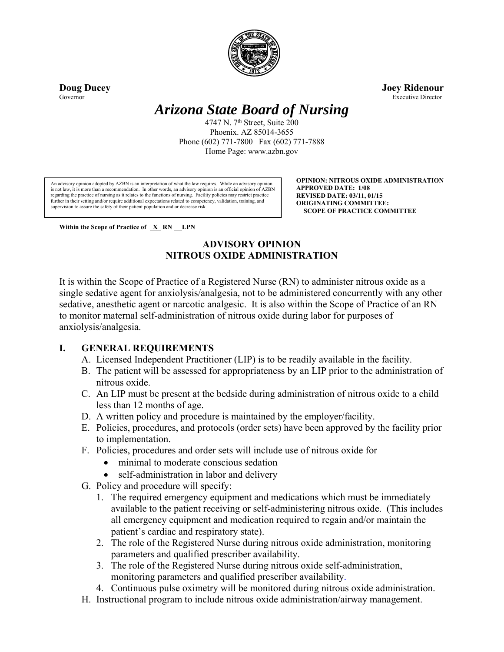

**Doug Ducey Joey Ridenour**  Governor Executive Director

# *Arizona State Board of Nursing*

4747 N. 7<sup>th</sup> Street, Suite 200 Phoenix. AZ 85014-3655 Phone (602) 771-7800 Fax (602) 771-7888 Home Page: www.azbn.gov

An advisory opinion adopted by AZBN is an interpretation of what the law requires. While an advisory opinion is not law, it is more than a recommendation. In other words, an advisory opinion is an official opinion of AZBN regarding the practice of nursing as it relates to the functions of nursing. Facility policies may restrict practice further in their setting and/or require additional expectations related to competency, validation, training, and supervision to assure the safety of their patient population and or decrease risk.

**OPINION: NITROUS OXIDE ADMINISTRATION APPROVED DATE: 1/08 REVISED DATE: 03/11, 01/15 ORIGINATING COMMITTEE: SCOPE OF PRACTICE COMMITTEE**

Within the Scope of Practice of  $X \, RN \, LPN$ 

## **ADVISORY OPINION NITROUS OXIDE ADMINISTRATION**

It is within the Scope of Practice of a Registered Nurse (RN) to administer nitrous oxide as a single sedative agent for anxiolysis/analgesia, not to be administered concurrently with any other sedative, anesthetic agent or narcotic analgesic. It is also within the Scope of Practice of an RN to monitor maternal self-administration of nitrous oxide during labor for purposes of anxiolysis/analgesia.

### **I. GENERAL REQUIREMENTS**

- A. Licensed Independent Practitioner (LIP) is to be readily available in the facility.
- B. The patient will be assessed for appropriateness by an LIP prior to the administration of nitrous oxide.
- C. An LIP must be present at the bedside during administration of nitrous oxide to a child less than 12 months of age.
- D. A written policy and procedure is maintained by the employer/facility.
- E. Policies, procedures, and protocols (order sets) have been approved by the facility prior to implementation.
- F. Policies, procedures and order sets will include use of nitrous oxide for
	- minimal to moderate conscious sedation
	- self-administration in labor and delivery
- G. Policy and procedure will specify:
	- 1. The required emergency equipment and medications which must be immediately available to the patient receiving or self-administering nitrous oxide. (This includes all emergency equipment and medication required to regain and/or maintain the patient's cardiac and respiratory state).
	- 2. The role of the Registered Nurse during nitrous oxide administration, monitoring parameters and qualified prescriber availability.
	- 3. The role of the Registered Nurse during nitrous oxide self-administration, monitoring parameters and qualified prescriber availability.
	- 4. Continuous pulse oximetry will be monitored during nitrous oxide administration.
- H. Instructional program to include nitrous oxide administration/airway management.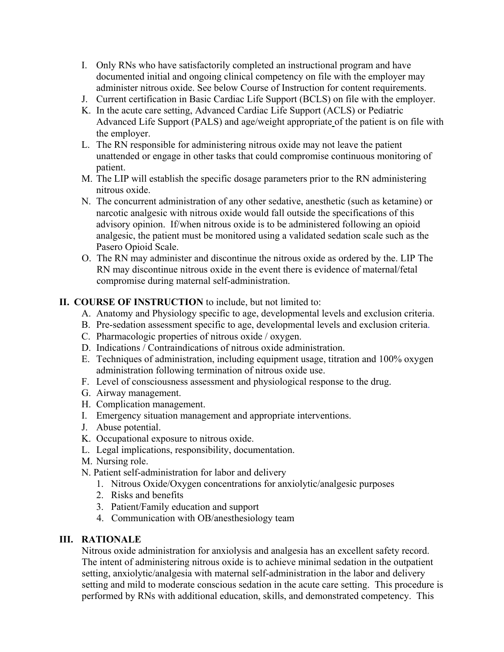- I. Only RNs who have satisfactorily completed an instructional program and have documented initial and ongoing clinical competency on file with the employer may administer nitrous oxide. See below Course of Instruction for content requirements.
- J. Current certification in Basic Cardiac Life Support (BCLS) on file with the employer.
- K. In the acute care setting, Advanced Cardiac Life Support (ACLS) or Pediatric Advanced Life Support (PALS) and age/weight appropriate of the patient is on file with the employer.
- L. The RN responsible for administering nitrous oxide may not leave the patient unattended or engage in other tasks that could compromise continuous monitoring of patient.
- M. The LIP will establish the specific dosage parameters prior to the RN administering nitrous oxide.
- N. The concurrent administration of any other sedative, anesthetic (such as ketamine) or narcotic analgesic with nitrous oxide would fall outside the specifications of this advisory opinion. If/when nitrous oxide is to be administered following an opioid analgesic, the patient must be monitored using a validated sedation scale such as the Pasero Opioid Scale.
- O. The RN may administer and discontinue the nitrous oxide as ordered by the. LIP The RN may discontinue nitrous oxide in the event there is evidence of maternal/fetal compromise during maternal self-administration.

### **II. COURSE OF INSTRUCTION** to include, but not limited to:

- A. Anatomy and Physiology specific to age, developmental levels and exclusion criteria.
- B. Pre-sedation assessment specific to age, developmental levels and exclusion criteria.
- C. Pharmacologic properties of nitrous oxide / oxygen.
- D. Indications / Contraindications of nitrous oxide administration.
- E. Techniques of administration, including equipment usage, titration and 100% oxygen administration following termination of nitrous oxide use.
- F. Level of consciousness assessment and physiological response to the drug.
- G. Airway management.
- H. Complication management.
- I. Emergency situation management and appropriate interventions.
- J. Abuse potential.
- K. Occupational exposure to nitrous oxide.
- L. Legal implications, responsibility, documentation.
- M. Nursing role.
- N. Patient self-administration for labor and delivery
	- 1. Nitrous Oxide/Oxygen concentrations for anxiolytic/analgesic purposes
	- 2. Risks and benefits
	- 3. Patient/Family education and support
	- 4. Communication with OB/anesthesiology team

#### **III. RATIONALE**

Nitrous oxide administration for anxiolysis and analgesia has an excellent safety record. The intent of administering nitrous oxide is to achieve minimal sedation in the outpatient setting, anxiolytic/analgesia with maternal self-administration in the labor and delivery setting and mild to moderate conscious sedation in the acute care setting. This procedure is performed by RNs with additional education, skills, and demonstrated competency. This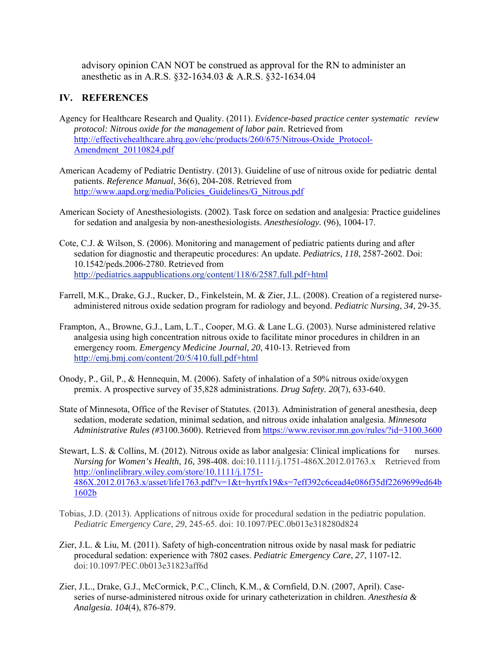advisory opinion CAN NOT be construed as approval for the RN to administer an anesthetic as in A.R.S. §32-1634.03 & A.R.S. §32-1634.04

### **IV. REFERENCES**

- Agency for Healthcare Research and Quality. (2011). *Evidence-based practice center systematic review protocol: Nitrous oxide for the management of labor pain*. Retrieved from http://effectivehealthcare.ahrq.gov/ehc/products/260/675/Nitrous-Oxide\_Protocol-Amendment 20110824.pdf
- American Academy of Pediatric Dentistry. (2013). Guideline of use of nitrous oxide for pediatric dental patients. *Reference Manual*, 36(6), 204-208. Retrieved from http://www.aapd.org/media/Policies\_Guidelines/G\_Nitrous.pdf
- American Society of Anesthesiologists. (2002). Task force on sedation and analgesia: Practice guidelines for sedation and analgesia by non-anesthesiologists. *Anesthesiology.* (96), 1004-17.
- Cote, C.J. & Wilson, S. (2006). Monitoring and management of pediatric patients during and after sedation for diagnostic and therapeutic procedures: An update. *Pediatrics*, *118*, 2587-2602. Doi: 10.1542/peds.2006-2780. Retrieved from http://pediatrics.aappublications.org/content/118/6/2587.full.pdf+html
- Farrell, M.K., Drake, G.J., Rucker, D., Finkelstein, M. & Zier, J.L. (2008). Creation of a registered nurse administered nitrous oxide sedation program for radiology and beyond. *Pediatric Nursing*, *34*, 29-35.
- Frampton, A., Browne, G.J., Lam, L.T., Cooper, M.G. & Lane L.G. (2003). Nurse administered relative analgesia using high concentration nitrous oxide to facilitate minor procedures in children in an emergency room. *Emergency Medicine Journal, 20*, 410-13. Retrieved from http://emj.bmj.com/content/20/5/410.full.pdf+html
- Onody, P., Gil, P., & Hennequin, M. (2006). Safety of inhalation of a 50% nitrous oxide/oxygen premix. A prospective survey of 35,828 administrations. *Drug Safety. 20*(7), 633-640.
- State of Minnesota, Office of the Reviser of Statutes. (2013). Administration of general anesthesia, deep sedation, moderate sedation, minimal sedation, and nitrous oxide inhalation analgesia. *Minnesota Administrative Rules (#*3100.3600). Retrieved from https://www.revisor.mn.gov/rules/?id=3100.3600
- Stewart, L.S. & Collins, M. (2012). Nitrous oxide as labor analgesia: Clinical implications for nurses. *Nursing for Women's Health*, *16,* 398-408. doi:10.1111/j.1751-486X.2012.01763.x Retrieved from http://onlinelibrary.wiley.com/store/10.1111/j.1751- 486X.2012.01763.x/asset/life1763.pdf?v=1&t=hyrtfx19&s=7eff392c6cead4e086f35df2269699ed64b 1602b
- Tobias, J.D. (2013). Applications of nitrous oxide for procedural sedation in the pediatric population. *Pediatric Emergency Care*, *29*, 245-65. doi: 10.1097/PEC.0b013e318280d824
- Zier, J.L. & Liu, M. (2011). Safety of high-concentration nitrous oxide by nasal mask for pediatric procedural sedation: experience with 7802 cases. *Pediatric Emergency Care*, *27*, 1107-12. doi: 10.1097/PEC.0b013e31823aff6d
- Zier, J.L., Drake, G.J., McCormick, P.C., Clinch, K.M., & Cornfield, D.N. (2007, April). Case series of nurse-administered nitrous oxide for urinary catheterization in children. *Anesthesia & Analgesia. 104*(4), 876-879.